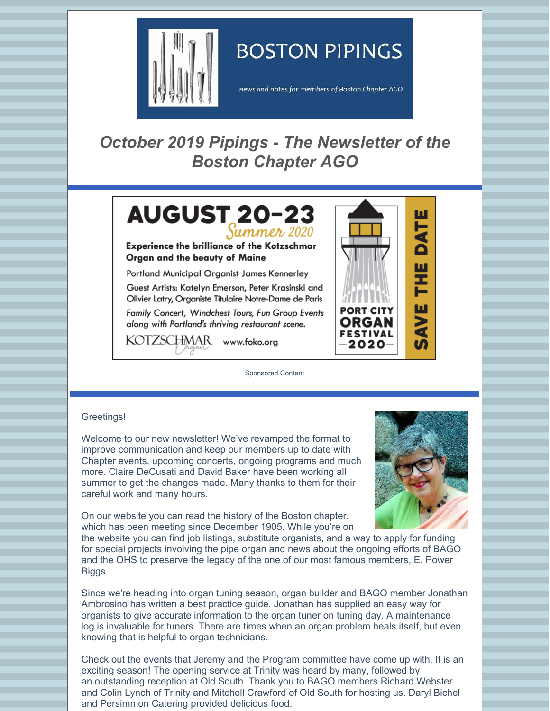

# **BOSTON PIPINGS**

news and notes for members of Boston Chapter AGO

## *October 2019 Pipings - The Newsletter of the Boston Chapter AGO*



**Experience the brilliance of the Kotzschmar** Organ and the beauty of Maine

Portland Municipal Organist James Kennerley

Guest Artists: Katelyn Emerson, Peter Krasinski and Olivier Latry, Organiste Titulaire Notre-Dame de Paris

Family Concert, Windchest Tours, Fun Group Events along with Portland's thriving restaurant scene.

KOTZSCHMAR www.foko.org

Sponsored Content



#### Greetings!

Welcome to our new newsletter! We've revamped the format to improve communication and keep our members up to date with Chapter events, upcoming concerts, ongoing programs and much more. Claire DeCusati and David Baker have been working all summer to get the changes made. Many thanks to them for their careful work and many hours.



On our website you can read the history of the Boston chapter, which has been meeting since December 1905. While you're on

the website you can find job listings, substitute organists, and a way to apply for funding for special projects involving the pipe organ and news about the ongoing efforts of BAGO and the OHS to preserve the legacy of the one of our most famous members, E. Power Biggs.

Since we're heading into organ tuning season, organ builder and BAGO member Jonathan Ambrosino has written a best practice guide. Jonathan has supplied an easy way for organists to give accurate information to the organ tuner on tuning day. A maintenance log is invaluable for tuners. There are times when an organ problem heals itself, but even knowing that is helpful to organ technicians.

Check out the events that Jeremy and the Program committee have come up with. It is an exciting season! The opening service at Trinity was heard by many, followed by an outstanding reception at Old South. Thank you to BAGO members Richard Webster and Colin Lynch of Trinity and Mitchell Crawford of Old South for hosting us. Daryl Bichel and Persimmon Catering provided delicious food.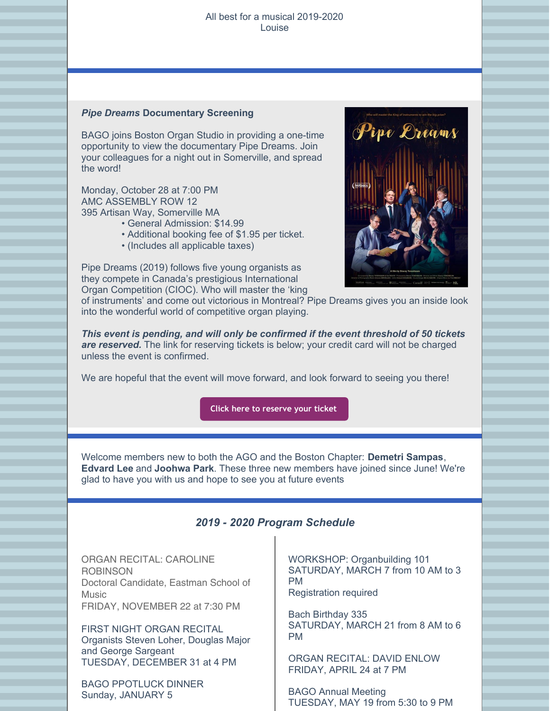#### All best for a musical 2019-2020 Louise

#### *Pipe Dreams* **Documentary Screening**

BAGO joins Boston Organ Studio in providing a one-time opportunity to view the documentary Pipe Dreams. Join your colleagues for a night out in Somerville, and spread the word!

Monday, October 28 at 7:00 PM AMC ASSEMBLY ROW 12 395 Artisan Way, Somerville MA

- General Admission: \$14.99
- Additional booking fee of \$1.95 per ticket.
- (Includes all applicable taxes)



Pipe Dreams (2019) follows five young organists as they compete in Canada's prestigious International Organ Competition (CIOC). Who will master the 'king

of instruments' and come out victorious in Montreal? Pipe Dreams gives you an inside look into the wonderful world of competitive organ playing.

*This event is pending, and will only be confirmed if the event threshold of 50 tickets are reserved.* The link for reserving tickets is below; your credit card will not be charged unless the event is confirmed.

We are hopeful that the event will move forward, and look forward to seeing you there!

**Click here to [reserve](https://tickets.demand.film/event/8997) your ticket**

Welcome members new to both the AGO and the Boston Chapter: **Demetri Sampas**, **Edvard Lee** and **Joohwa Park**. These three new members have joined since June! We're glad to have you with us and hope to see you at future events

## *2019 - 2020 Program Schedule*

ORGAN RECITAL: CAROLINE **ROBINSON** Doctoral Candidate, Eastman School of **Music** FRIDAY, NOVEMBER 22 at 7:30 PM

FIRST NIGHT ORGAN RECITAL Organists Steven Loher, Douglas Major and George Sargeant TUESDAY, DECEMBER 31 at 4 PM

BAGO PPOTLUCK DINNER Sunday, JANUARY 5

WORKSHOP: Organbuilding 101 SATURDAY, MARCH 7 from 10 AM to 3 PM Registration required

Bach Birthday 335 SATURDAY, MARCH 21 from 8 AM to 6 PM

ORGAN RECITAL: DAVID ENLOW FRIDAY, APRIL 24 at 7 PM

BAGO Annual Meeting TUESDAY, MAY 19 from 5:30 to 9 PM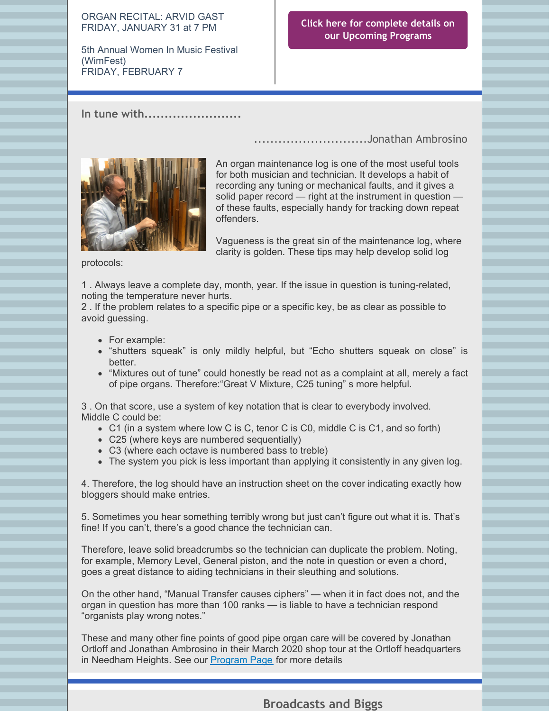#### ORGAN RECITAL: ARVID GAST FRIDAY, JANUARY 31 at 7 PM

5th Annual Women In Music Festival (WimFest) FRIDAY, FEBRUARY 7

## **Click here for complete details on our [Upcoming](http://www.bostonago.org/programs) Programs**

............................Jonathan Ambrosino

## **In tune with........................**



An organ maintenance log is one of the most useful tools for both musician and technician. It develops a habit of recording any tuning or mechanical faults, and it gives a solid paper record — right at the instrument in question of these faults, especially handy for tracking down repeat offenders.

Vagueness is the great sin of the maintenance log, where clarity is golden. These tips may help develop solid log

protocols:

1 . Always leave a complete day, month, year. If the issue in question is tuning-related, noting the temperature never hurts.

2 . If the problem relates to a specific pipe or a specific key, be as clear as possible to avoid guessing.

- For example:
- "shutters squeak" is only mildly helpful, but "Echo shutters squeak on close" is better.
- "Mixtures out of tune" could honestly be read not as a complaint at all, merely a fact of pipe organs. Therefore:"Great V Mixture, C25 tuning" s more helpful.

3 . On that score, use a system of key notation that is clear to everybody involved. Middle C could be:

- C1 (in a system where low C is C, tenor C is C0, middle C is C1, and so forth)
- C25 (where keys are numbered sequentially)
- C3 (where each octave is numbered bass to treble)
- The system you pick is less important than applying it consistently in any given log.

4. Therefore, the log should have an instruction sheet on the cover indicating exactly how bloggers should make entries.

5. Sometimes you hear something terribly wrong but just can't figure out what it is. That's fine! If you can't, there's a good chance the technician can.

Therefore, leave solid breadcrumbs so the technician can duplicate the problem. Noting, for example, Memory Level, General piston, and the note in question or even a chord, goes a great distance to aiding technicians in their sleuthing and solutions.

On the other hand, "Manual Transfer causes ciphers" — when it in fact does not, and the organ in question has more than 100 ranks — is liable to have a technician respond "organists play wrong notes."

These and many other fine points of good pipe organ care will be covered by Jonathan Ortloff and Jonathan Ambrosino in their March 2020 shop tour at the Ortloff headquarters in Needham Heights. See our [Program](http://www.bostonago.org/programs/) Page for more details

## **Broadcasts and Biggs**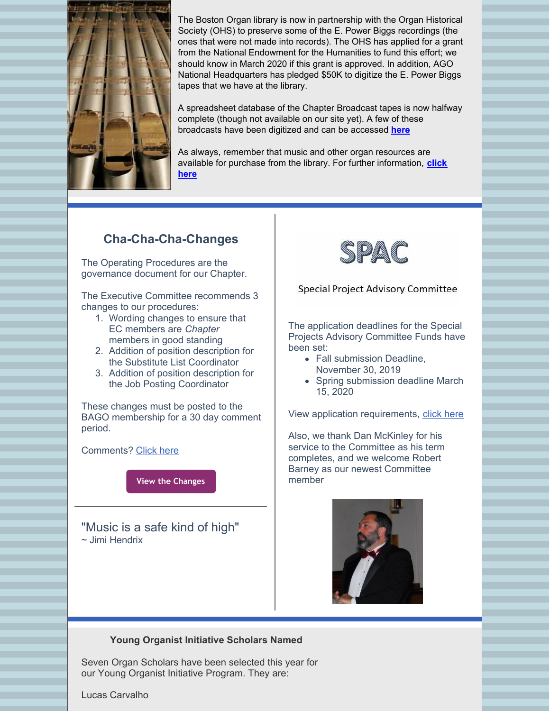

The Boston Organ library is now in partnership with the Organ Historical Society (OHS) to preserve some of the E. Power Biggs recordings (the ones that were not made into records). The OHS has applied for a grant from the National Endowment for the Humanities to fund this effort; we should know in March 2020 if this grant is approved. In addition, AGO National Headquarters has pledged \$50K to digitize the E. Power Biggs tapes that we have at the library.

A spreadsheet database of the Chapter Broadcast tapes is now halfway complete (though not available on our site yet). A few of these broadcasts have been digitized and can be accessed **[here](http://www.organlibrary.org/boston-ago-radio-broadcasts/)**

As always, remember that music and other organ resources are available for purchase from the library. For further [information,](http://www.organlibrary.org/music-sales/) **click here**

## **Cha-Cha-Cha-Changes**

The Operating Procedures are the governance document for our Chapter.

The Executive Committee recommends 3 changes to our procedures:

- 1. Wording changes to ensure that EC members are *Chapter* members in good standing
- 2. Addition of position description for the Substitute List Coordinator
- 3. Addition of position description for the Job Posting Coordinator

These changes must be posted to the BAGO membership for a 30 day comment period.

Comments? [Click](mailto:bostonago@verizon.net) here

**View the [Changes](https://files.constantcontact.com/8b145067101/25585965-67f3-4913-90a8-6bf70ae82acd.pdf)**

"Music is a safe kind of high" ~ Jimi Hendrix



### Special Project Advisory Committee

The application deadlines for the Special Projects Advisory Committee Funds have been set:

- Fall submission Deadline, November 30, 2019
- Spring submission deadline March 15, 2020

View application requirements, click [here](http://www.bostonago.org/chapter/spac/spac-project-application/)

Also, we thank Dan McKinley for his service to the Committee as his term completes, and we welcome Robert Barney as our newest Committee member



### **Young Organist Initiative Scholars Named**

Seven Organ Scholars have been selected this year for our Young Organist Initiative Program. They are:

Lucas Carvalho